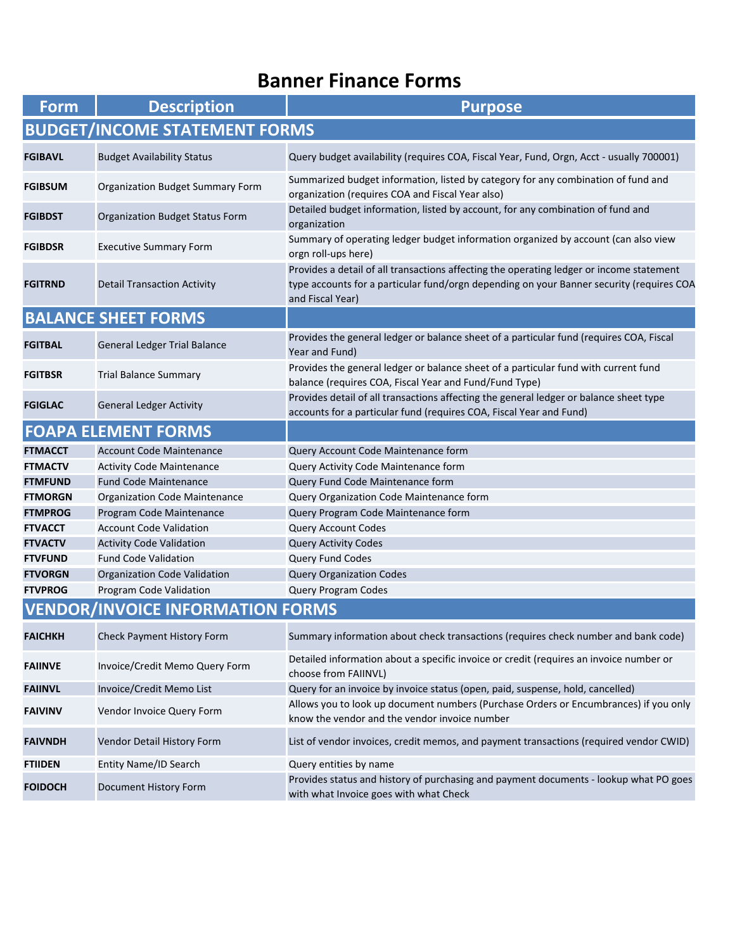## **Banner Finance Forms**

| <b>Form</b>                             | <b>Description</b>                     | <b>Purpose</b>                                                                                                                                                                                           |  |
|-----------------------------------------|----------------------------------------|----------------------------------------------------------------------------------------------------------------------------------------------------------------------------------------------------------|--|
| <b>BUDGET/INCOME STATEMENT FORMS</b>    |                                        |                                                                                                                                                                                                          |  |
| <b>FGIBAVL</b>                          | <b>Budget Availability Status</b>      | Query budget availability (requires COA, Fiscal Year, Fund, Orgn, Acct - usually 700001)                                                                                                                 |  |
| <b>FGIBSUM</b>                          | Organization Budget Summary Form       | Summarized budget information, listed by category for any combination of fund and<br>organization (requires COA and Fiscal Year also)                                                                    |  |
| <b>FGIBDST</b>                          | <b>Organization Budget Status Form</b> | Detailed budget information, listed by account, for any combination of fund and<br>organization                                                                                                          |  |
| <b>FGIBDSR</b>                          | <b>Executive Summary Form</b>          | Summary of operating ledger budget information organized by account (can also view<br>orgn roll-ups here)                                                                                                |  |
| <b>FGITRND</b>                          | <b>Detail Transaction Activity</b>     | Provides a detail of all transactions affecting the operating ledger or income statement<br>type accounts for a particular fund/orgn depending on your Banner security (requires COA<br>and Fiscal Year) |  |
|                                         | <b>BALANCE SHEET FORMS</b>             |                                                                                                                                                                                                          |  |
| <b>FGITBAL</b>                          | <b>General Ledger Trial Balance</b>    | Provides the general ledger or balance sheet of a particular fund (requires COA, Fiscal<br>Year and Fund)                                                                                                |  |
| <b>FGITBSR</b>                          | <b>Trial Balance Summary</b>           | Provides the general ledger or balance sheet of a particular fund with current fund<br>balance (requires COA, Fiscal Year and Fund/Fund Type)                                                            |  |
| <b>FGIGLAC</b>                          | <b>General Ledger Activity</b>         | Provides detail of all transactions affecting the general ledger or balance sheet type<br>accounts for a particular fund (requires COA, Fiscal Year and Fund)                                            |  |
|                                         | <b>FOAPA ELEMENT FORMS</b>             |                                                                                                                                                                                                          |  |
| <b>FTMACCT</b>                          | <b>Account Code Maintenance</b>        | Query Account Code Maintenance form                                                                                                                                                                      |  |
| <b>FTMACTV</b>                          | <b>Activity Code Maintenance</b>       | Query Activity Code Maintenance form                                                                                                                                                                     |  |
| <b>FTMFUND</b>                          | <b>Fund Code Maintenance</b>           | Query Fund Code Maintenance form                                                                                                                                                                         |  |
| <b>FTMORGN</b>                          | Organization Code Maintenance          | Query Organization Code Maintenance form                                                                                                                                                                 |  |
| <b>FTMPROG</b>                          | Program Code Maintenance               | Query Program Code Maintenance form                                                                                                                                                                      |  |
| <b>FTVACCT</b>                          | <b>Account Code Validation</b>         | <b>Query Account Codes</b>                                                                                                                                                                               |  |
| <b>FTVACTV</b>                          | <b>Activity Code Validation</b>        | <b>Query Activity Codes</b>                                                                                                                                                                              |  |
| <b>FTVFUND</b>                          | <b>Fund Code Validation</b>            | Query Fund Codes                                                                                                                                                                                         |  |
| <b>FTVORGN</b>                          | Organization Code Validation           | <b>Query Organization Codes</b>                                                                                                                                                                          |  |
| <b>FTVPROG</b>                          | Program Code Validation                | Query Program Codes                                                                                                                                                                                      |  |
| <b>VENDOR/INVOICE INFORMATION FORMS</b> |                                        |                                                                                                                                                                                                          |  |
| <b>FAICHKH</b>                          | Check Payment History Form             | Summary information about check transactions (requires check number and bank code)                                                                                                                       |  |
| <b>FAIINVE</b>                          | Invoice/Credit Memo Query Form         | Detailed information about a specific invoice or credit (requires an invoice number or<br>choose from FAIINVL)                                                                                           |  |
| <b>FAIINVL</b>                          | Invoice/Credit Memo List               | Query for an invoice by invoice status (open, paid, suspense, hold, cancelled)                                                                                                                           |  |
| <b>FAIVINV</b>                          | Vendor Invoice Query Form              | Allows you to look up document numbers (Purchase Orders or Encumbrances) if you only<br>know the vendor and the vendor invoice number                                                                    |  |
| <b>FAIVNDH</b>                          | Vendor Detail History Form             | List of vendor invoices, credit memos, and payment transactions (required vendor CWID)                                                                                                                   |  |
| <b>FTIIDEN</b>                          | Entity Name/ID Search                  | Query entities by name                                                                                                                                                                                   |  |
| <b>FOIDOCH</b>                          | Document History Form                  | Provides status and history of purchasing and payment documents - lookup what PO goes<br>with what Invoice goes with what Check                                                                          |  |